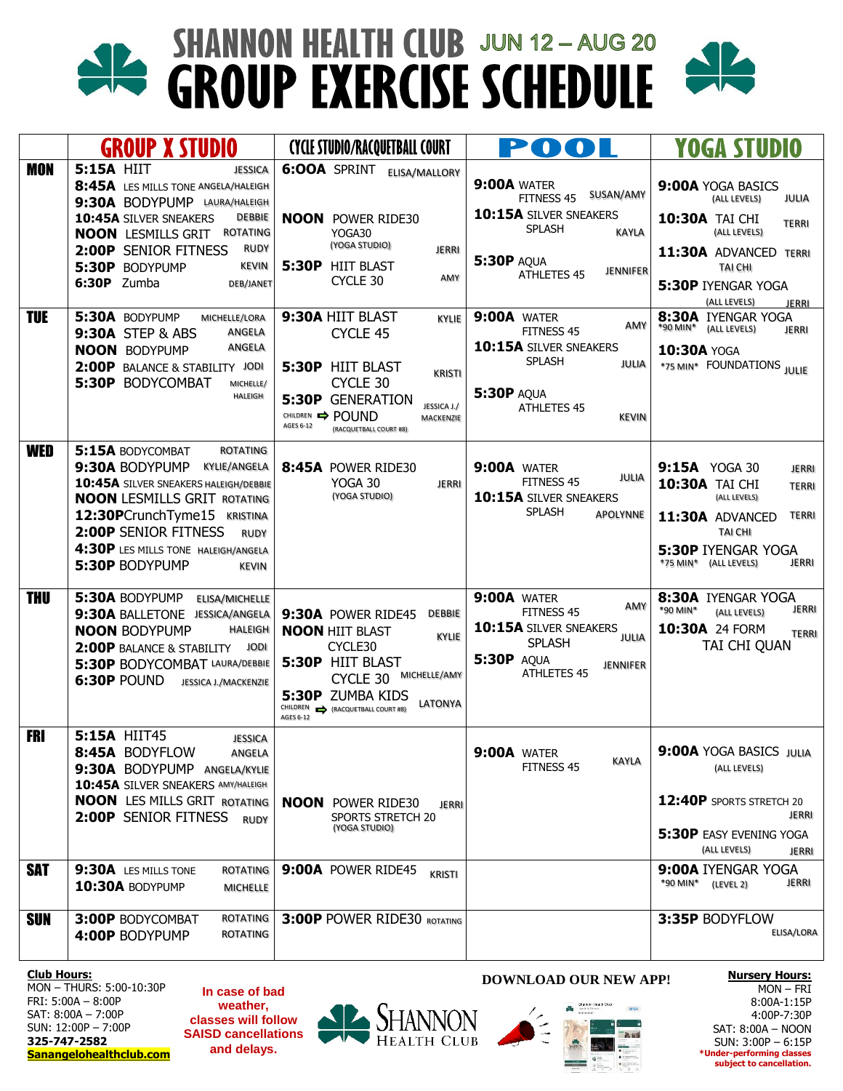# **SHANNON HEALTH CLUB JUN 12-AUG 20** <u>dk</u> **GROUP EXERCISE SCHEDULE**



|                          | <b>GROUP X STUDIO</b>                                                                                                                                                                                                                                                                               | <b>CYCLE STUDIO/RACQUETBALL COURT</b>                                                                                                                                                                                     | POOL                                                                                                                                                                   | YOGA STUDIO                                                                                                                                                                                         |
|--------------------------|-----------------------------------------------------------------------------------------------------------------------------------------------------------------------------------------------------------------------------------------------------------------------------------------------------|---------------------------------------------------------------------------------------------------------------------------------------------------------------------------------------------------------------------------|------------------------------------------------------------------------------------------------------------------------------------------------------------------------|-----------------------------------------------------------------------------------------------------------------------------------------------------------------------------------------------------|
| <b>MON</b>               | <b>5:15A HIIT</b><br><b>JESSICA</b><br>8:45A LES MILLS TONE ANGELA/HALEIGH<br>9:30A BODYPUMP LAURA/HALEIGH<br>10:45A SILVER SNEAKERS<br>DEBBIE<br><b>ROTATING</b><br><b>NOON</b> LESMILLS GRIT<br><b>RUDY</b><br>2:00P SENIOR FITNESS<br><b>KEVIN</b><br>5:30P BODYPUMP<br>6:30P Zumba<br>DEB/JANET | <b>6:00A SPRINT ELISA/MALLORY</b><br><b>NOON</b> POWER RIDE30<br>YOGA30<br>(YOGA STUDIO)<br><b>JERRI</b><br><b>5:30P HIIT BLAST</b><br>AMY<br>CYCLE 30                                                                    | <b>9:00A WATER</b><br>SUSAN/AMY<br>FITNESS 45<br>10:15A SILVER SNEAKERS<br><b>SPLASH</b><br><b>KAYLA</b><br><b>5:30P AQUA</b><br><b>JENNIFER</b><br><b>ATHLETES 45</b> | 9:00A YOGA BASICS<br>JULIA<br>(ALL LEVELS)<br>10:30A TAI CHI<br><b>TERRI</b><br>(ALL LEVELS)<br>11:30A ADVANCED TERRI<br><b>TAI CHI</b><br>5:30P IYENGAR YOGA                                       |
| <b>TUE</b>               | 5:30A BODYPUMP<br>MICHELLE/LORA<br>ANGELA<br><b>9:30A STEP &amp; ABS</b><br><b>ANGELA</b><br><b>NOON BODYPUMP</b><br>2:00P BALANCE & STABILITY JODI<br>5:30P BODYCOMBAT<br>MICHELLE/<br><b>HALEIGH</b>                                                                                              | 9:30A HIIT BLAST<br>KYLIE<br>CYCLE 45<br><b>5:30P HIIT BLAST</b><br><b>KRISTI</b><br>CYCLE 30<br><b>5:30P GENERATION</b><br>JESSICA J./<br>CHILDREN <b>POUND</b><br>MACKENZIE<br>AGES 6-12<br>(RACQUETBALL COURT #8)      | <b>9:00A WATER</b><br>AMY<br>FITNESS 45<br>10:15A SILVER SNEAKERS<br><b>SPLASH</b><br>JULIA<br><b>5:30P AQUA</b><br><b>ATHLETES 45</b><br><b>KEVIN</b>                 | (ALL LEVELS)<br><b>JERRI</b><br>8:30A IYENGAR YOGA<br>*90 MIN*<br>(ALL LEVELS)<br><b>JERRI</b><br>10:30A YOGA<br>*75 MIN* FOUNDATIONS JULIE                                                         |
| <b>WED</b>               | 5:15A BODYCOMBAT<br><b>ROTATING</b><br>9:30A BODYPUMP<br>KYLIE/ANGELA<br>10:45A SILVER SNEAKERS HALEIGH/DEBBIE<br><b>NOON LESMILLS GRIT ROTATING</b><br>12:30PCrunchTyme15 KRISTINA<br>2:00P SENIOR FITNESS<br><b>RUDY</b><br>4:30P LES MILLS TONE HALEIGH/ANGELA<br>5:30P BODYPUMP<br><b>KEVIN</b> | 8:45A POWER RIDE30<br>YOGA 30<br><b>JERRI</b><br>(YOGA STUDIO)                                                                                                                                                            | <b>9:00A WATER</b><br>JULIA<br>FITNESS 45<br>10:15A SILVER SNEAKERS<br><b>SPLASH</b><br><b>APOLYNNE</b>                                                                | 9:15A YOGA 30<br><b>JERRI</b><br>10:30A TAI CHI<br><b>TERRI</b><br>(ALL LEVELS)<br><b>TERRI</b><br>11:30A ADVANCED<br><b>TAI CHI</b><br><b>5:30P IYENGAR YOGA</b><br>JERRI<br>*75 MIN* (ALL LEVELS) |
| <b>THU</b>               | 5:30A BODYPUMP<br>ELISA/MICHELLE<br>9:30A BALLETONE JESSICA/ANGELA<br><b>NOON BODYPUMP</b><br>HALEIGH<br>2:00P BALANCE & STABILITY<br>JODI<br>5:30P BODYCOMBAT LAURA/DEBBIE<br>6:30P POUND<br>JESSICA J./MACKENZIE                                                                                  | 9:30A POWER RIDE45<br><b>DEBBIE</b><br><b>NOON HIIT BLAST</b><br>KYLIE<br>CYCLE30<br>5:30P HIIT BLAST<br>MICHELLE/AMY<br>CYCLE 30<br>5:30P ZUMBA KIDS<br>LATONYA<br>CHILDREN <a> (RACQUETBALL COURT #8)<br/>AGES 6-12</a> | <b>9:00A WATER</b><br>AMY<br>FITNESS 45<br>10:15A SILVER SNEAKERS<br>JULIA<br><b>SPLASH</b><br><b>5:30P AQUA</b><br><b>JENNIFER</b><br><b>ATHLETES 45</b>              | 8:30A IYENGAR YOGA<br>JERRI<br>*90 MIN*<br>(ALL LEVELS)<br>10:30A 24 FORM<br><b>TERRI</b><br>TAI CHI QUAN                                                                                           |
| <b>FRI</b><br><b>SAT</b> | 5:15A HIIT45<br><b>JESSICA</b><br>8:45A BODYFLOW<br>ANGELA<br>9:30A BODYPUMP ANGELA/KYLIE<br>10:45A SILVER SNEAKERS AMY/HALEIGH<br><b>NOON</b> LES MILLS GRIT ROTATING<br>2:00P SENIOR FITNESS RUDY<br>9:30A LES MILLS TONE<br>ROTATING                                                             | <b>NOON</b> POWER RIDE30<br><b>JERRI</b><br>SPORTS STRETCH 20<br>(YOGA STUDIO)<br>9:00A POWER RIDE45                                                                                                                      | <b>9:00A WATER</b><br><b>KAYLA</b><br>FITNESS 45                                                                                                                       | 9:00A YOGA BASICS JULIA<br>(ALL LEVELS)<br>12:40P SPORTS STRETCH 20<br>JERRI<br>5:30P EASY EVENING YOGA<br>(ALL LEVELS)<br><b>JERRI</b><br>9:00A IYENGAR YOGA                                       |
| <b>SUN</b>               | 10:30A BODYPUMP<br><b>MICHELLE</b><br><b>ROTATING</b><br>3:00P BODYCOMBAT<br>ROTATING<br>4:00P BODYPUMP                                                                                                                                                                                             | <b>KRISTI</b><br>3:00P POWER RIDE30 ROTATING                                                                                                                                                                              |                                                                                                                                                                        | *90 MIN* (LEVEL 2)<br>JERRI<br>3:35P BODYFLOW<br>ELISA/LORA                                                                                                                                         |
|                          |                                                                                                                                                                                                                                                                                                     |                                                                                                                                                                                                                           |                                                                                                                                                                        |                                                                                                                                                                                                     |

**Club Hours:**

MON – THURS: 5:00-10:30P FRI: 5:00A – 8:00P SAT: 8:00A – 7:00P SUN: 12:00P – 7:00P **325-747-2582 Sanangelohealthclub.com**

**In case of bad weather, classes will follow SAISD cancellations and delays.**



### **DOWNLOAD OUR NEW APP!**



**Nursery Hours:** MON – FRI 8:00A-1:15P 4:00P-7:30P SAT: 8:00A – NOON SUN: 3:00P – 6:15P **\*Under-performing classes subject to cancellation.**